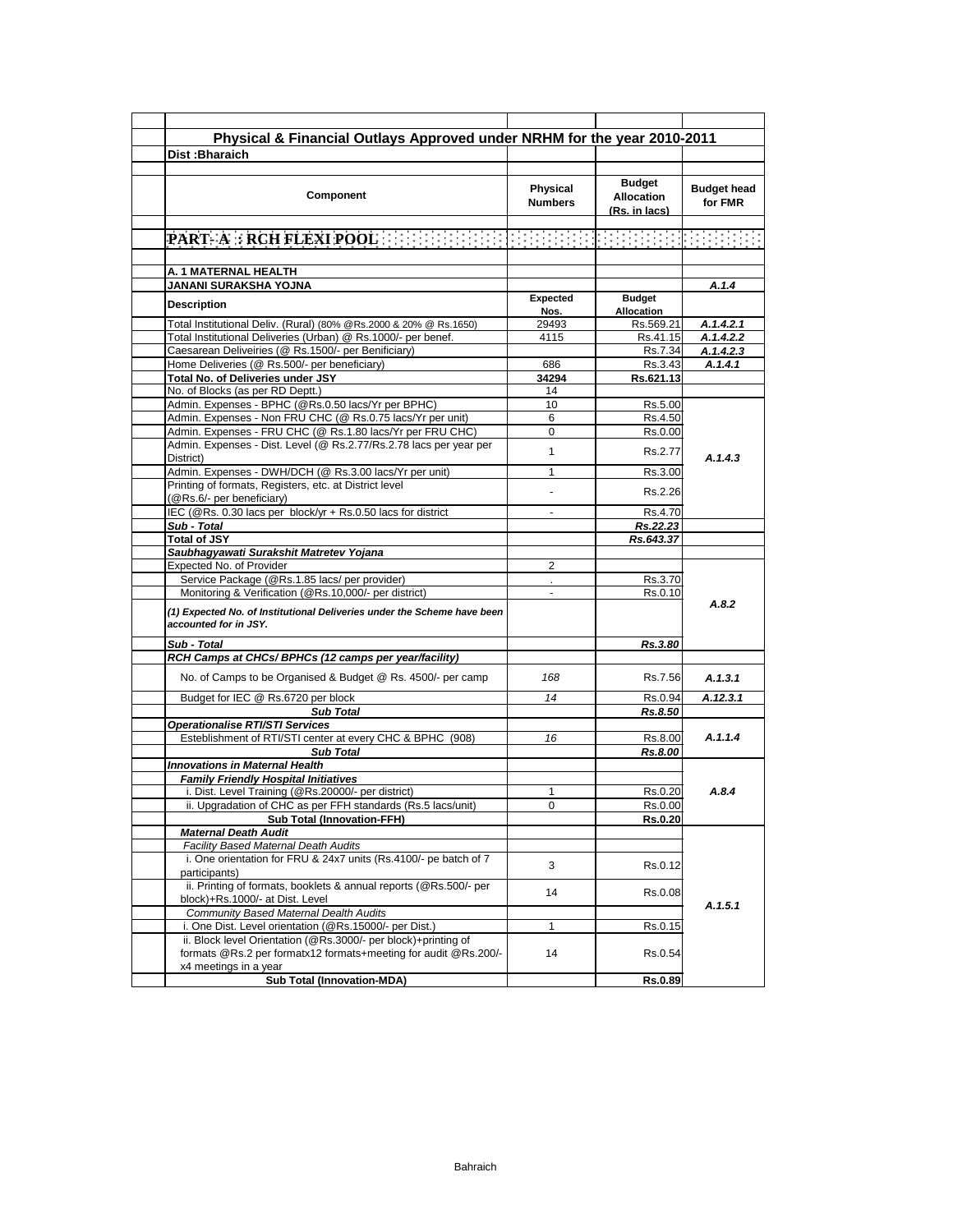| Dist: Bharaich                                                                                                                                             | Physical & Financial Outlays Approved under NRHM for the year 2010-2011 |                                                     |                               |
|------------------------------------------------------------------------------------------------------------------------------------------------------------|-------------------------------------------------------------------------|-----------------------------------------------------|-------------------------------|
|                                                                                                                                                            |                                                                         |                                                     |                               |
| Component                                                                                                                                                  | Physical<br><b>Numbers</b>                                              | <b>Budget</b><br><b>Allocation</b><br>(Rs. in lacs) | <b>Budget head</b><br>for FMR |
| <b>PART-A RCH FLEXI POOLER ENDED ENDED ENDED ENDED ENDED:</b>                                                                                              |                                                                         |                                                     |                               |
|                                                                                                                                                            |                                                                         |                                                     |                               |
| A. 1 MATERNAL HEALTH                                                                                                                                       |                                                                         |                                                     |                               |
| JANANI SURAKSHA YOJNA                                                                                                                                      |                                                                         |                                                     | A.1.4                         |
| <b>Description</b>                                                                                                                                         | Expected<br>Nos.                                                        | <b>Budget</b><br>Allocation                         |                               |
| Total Institutional Deliv. (Rural) (80% @Rs.2000 & 20% @ Rs.1650)                                                                                          | 29493                                                                   | Rs.569.21                                           | A.1.4.2.1                     |
| Total Institutional Deliveries (Urban) @ Rs.1000/- per benef.                                                                                              | 4115                                                                    | Rs.41.15                                            | A.1.4.2.2                     |
| Caesarean Deliveiries (@ Rs.1500/- per Benificiary)                                                                                                        |                                                                         | Rs.7.34                                             | A.1.4.2.3                     |
| Home Deliveries (@ Rs.500/- per beneficiary)                                                                                                               | 686                                                                     | Rs.3.43                                             | A.1.4.1                       |
| Total No. of Deliveries under JSY                                                                                                                          | 34294                                                                   | Rs.621.13                                           |                               |
| No. of Blocks (as per RD Deptt.)                                                                                                                           | 14                                                                      |                                                     |                               |
| Admin. Expenses - BPHC (@Rs.0.50 lacs/Yr per BPHC)                                                                                                         | 10                                                                      | Rs.5.00                                             |                               |
| Admin. Expenses - Non FRU CHC (@ Rs.0.75 lacs/Yr per unit)                                                                                                 | 6                                                                       | Rs.4.50                                             |                               |
| Admin. Expenses - FRU CHC (@ Rs.1.80 lacs/Yr per FRU CHC)                                                                                                  | 0                                                                       | Rs.0.00                                             |                               |
| Admin. Expenses - Dist. Level (@ Rs.2.77/Rs.2.78 lacs per year per<br>District)                                                                            | $\mathbf{1}$                                                            | Rs.2.77                                             | A.1.4.3                       |
| Admin. Expenses - DWH/DCH (@ Rs.3.00 lacs/Yr per unit)                                                                                                     | 1                                                                       | Rs.3.00                                             |                               |
| Printing of formats, Registers, etc. at District level<br>(@Rs.6/- per beneficiary)                                                                        |                                                                         | Rs.2.26                                             |                               |
| IEC (@Rs. 0.30 lacs per block/yr + Rs.0.50 lacs for district                                                                                               |                                                                         | Rs.4.70                                             |                               |
| Sub - Total                                                                                                                                                |                                                                         | Rs.22.23                                            |                               |
| <b>Total of JSY</b>                                                                                                                                        |                                                                         | Rs.643.37                                           |                               |
| Saubhagyawati Surakshit Matretev Yojana                                                                                                                    |                                                                         |                                                     |                               |
| Expected No. of Provider                                                                                                                                   | $\overline{2}$                                                          |                                                     |                               |
| Service Package (@Rs.1.85 lacs/per provider)                                                                                                               |                                                                         | Rs.3.70                                             |                               |
| Monitoring & Verification (@Rs.10,000/- per district)                                                                                                      | $\blacksquare$                                                          | Rs.0.10                                             |                               |
| (1) Expected No. of Institutional Deliveries under the Scheme have been<br>accounted for in JSY.                                                           |                                                                         |                                                     | A.8.2                         |
| Sub - Total                                                                                                                                                |                                                                         | Rs.3.80                                             |                               |
| RCH Camps at CHCs/ BPHCs (12 camps per year/facility)                                                                                                      |                                                                         |                                                     |                               |
| No. of Camps to be Organised & Budget @ Rs. 4500/- per camp                                                                                                | 168                                                                     | Rs.7.56                                             | A.1.3.1                       |
| Budget for IEC @ Rs.6720 per block                                                                                                                         | 14                                                                      | Rs.0.94                                             | A.12.3.1                      |
| <b>Sub Total</b>                                                                                                                                           |                                                                         | Rs.8.50                                             |                               |
| <b>Operationalise RTI/STI Services</b><br>Esteblishment of RTI/STI center at every CHC & BPHC (908)                                                        |                                                                         |                                                     | A.1.1.4                       |
|                                                                                                                                                            | 16                                                                      | Rs.8.00                                             |                               |
| <b>Sub Total</b>                                                                                                                                           |                                                                         | Rs.8.00                                             |                               |
| <b>Innovations in Maternal Health</b>                                                                                                                      |                                                                         |                                                     |                               |
| <b>Family Friendly Hospital Initiatives</b>                                                                                                                |                                                                         |                                                     | A.8.4                         |
|                                                                                                                                                            | 1                                                                       | Rs.0.20                                             |                               |
| i. Dist. Level Training (@Rs.20000/- per district)                                                                                                         |                                                                         | Rs.0.00                                             |                               |
| ii. Upgradation of CHC as per FFH standards (Rs.5 lacs/unit)                                                                                               | 0                                                                       |                                                     |                               |
| <b>Sub Total (Innovation-FFH)</b>                                                                                                                          |                                                                         | <b>Rs.0.20</b>                                      |                               |
| <b>Maternal Death Audit</b>                                                                                                                                |                                                                         |                                                     |                               |
| Facility Based Maternal Death Audits                                                                                                                       |                                                                         |                                                     |                               |
| i. One orientation for FRU & 24x7 units (Rs.4100/- pe batch of 7<br>participants)                                                                          | 3                                                                       | Rs.0.12                                             |                               |
| ii. Printing of formats, booklets & annual reports (@Rs.500/- per<br>block)+Rs.1000/- at Dist. Level                                                       | 14                                                                      | Rs.0.08                                             |                               |
| Community Based Maternal Dealth Audits                                                                                                                     |                                                                         |                                                     |                               |
| i. One Dist. Level orientation (@Rs.15000/- per Dist.)                                                                                                     | 1                                                                       | Rs.0.15                                             | A.1.5.1                       |
| ii. Block level Orientation (@Rs.3000/- per block)+printing of<br>formats @Rs.2 per formatx12 formats+meeting for audit @Rs.200/-<br>x4 meetings in a year | 14                                                                      | Rs.0.54                                             |                               |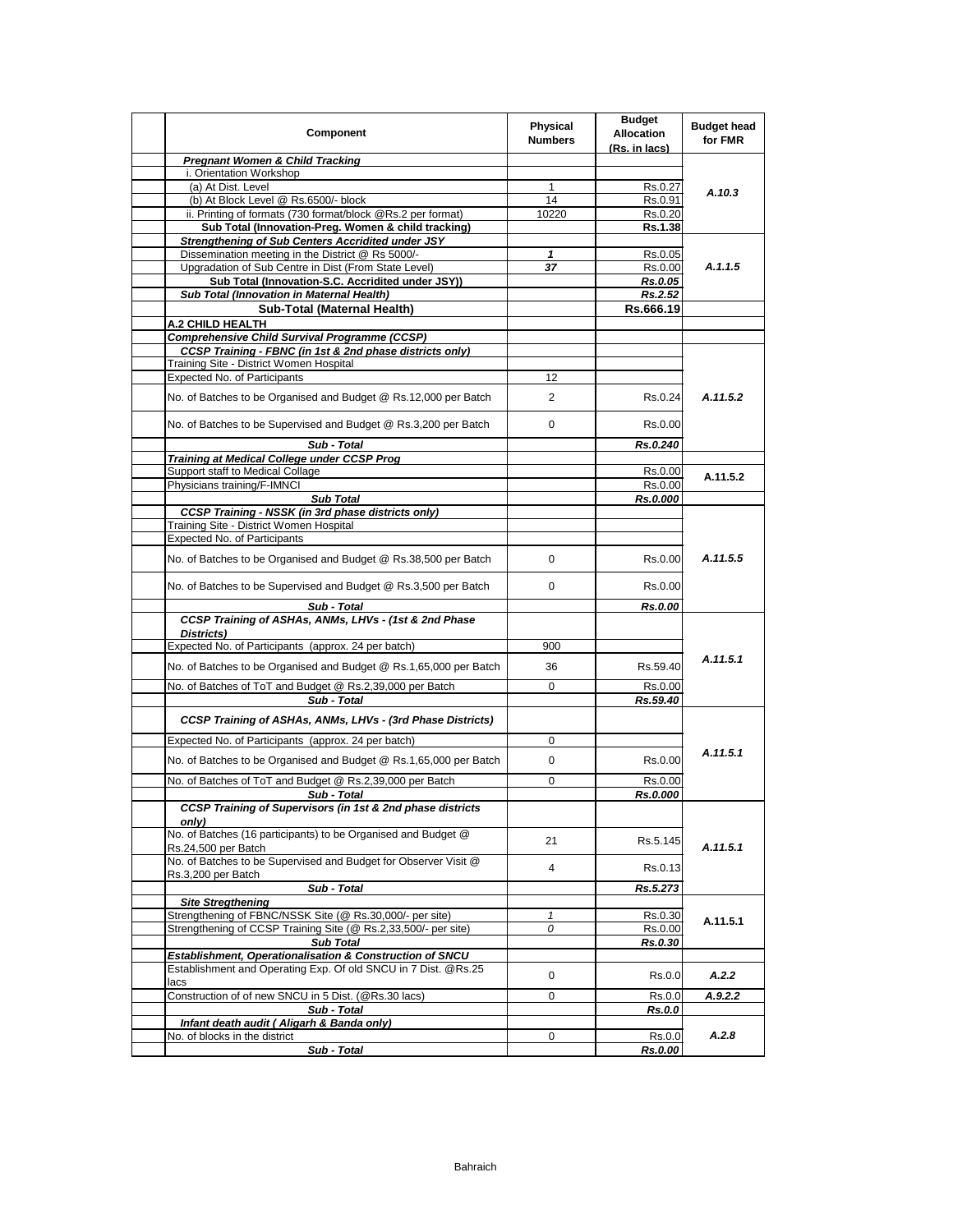| Component                                                                                                 | Physical<br><b>Numbers</b> | <b>Budget</b><br><b>Allocation</b><br>(Rs. in lacs) | <b>Budget head</b><br>for FMR |
|-----------------------------------------------------------------------------------------------------------|----------------------------|-----------------------------------------------------|-------------------------------|
| <b>Pregnant Women &amp; Child Tracking</b>                                                                |                            |                                                     |                               |
| i. Orientation Workshop                                                                                   |                            |                                                     |                               |
| (a) At Dist. Level                                                                                        | $\mathbf{1}$               | Rs.0.27                                             | A.10.3                        |
| (b) At Block Level @ Rs.6500/- block                                                                      | 14                         | Rs.0.91                                             |                               |
| ii. Printing of formats (730 format/block @Rs.2 per format)                                               | 10220                      | Rs.0.20                                             |                               |
| Sub Total (Innovation-Preg. Women & child tracking)                                                       |                            | Rs.1.38                                             |                               |
| <b>Strengthening of Sub Centers Accridited under JSY</b>                                                  |                            |                                                     |                               |
| Dissemination meeting in the District @ Rs 5000/-                                                         | $\mathbf{1}$               | Rs.0.05                                             | A.1.1.5                       |
| Upgradation of Sub Centre in Dist (From State Level)<br>Sub Total (Innovation-S.C. Accridited under JSY)) | 37                         | Rs.0.00                                             |                               |
| Sub Total (Innovation in Maternal Health)                                                                 |                            | <b>Rs.0.05</b>                                      |                               |
|                                                                                                           |                            | Rs.2.52                                             |                               |
| Sub-Total (Maternal Health)                                                                               |                            | Rs.666.19                                           |                               |
| A.2 CHILD HEALTH                                                                                          |                            |                                                     |                               |
| <b>Comprehensive Child Survival Programme (CCSP)</b>                                                      |                            |                                                     |                               |
| CCSP Training - FBNC (in 1st & 2nd phase districts only)<br>Training Site - District Women Hospital       |                            |                                                     |                               |
| <b>Expected No. of Participants</b>                                                                       | 12                         |                                                     |                               |
|                                                                                                           |                            |                                                     |                               |
| No. of Batches to be Organised and Budget @ Rs.12,000 per Batch                                           | 2                          | Rs.0.24                                             | A.11.5.2                      |
| No. of Batches to be Supervised and Budget @ Rs.3,200 per Batch                                           | 0                          | Rs.0.00                                             |                               |
| Sub - Total                                                                                               |                            | Rs.0.240                                            |                               |
| <b>Training at Medical College under CCSP Prog</b>                                                        |                            |                                                     |                               |
| Support staff to Medical Collage                                                                          |                            | Rs.0.00                                             | A.11.5.2                      |
| Physicians training/F-IMNCI                                                                               |                            | Rs.0.00                                             |                               |
| <b>Sub Total</b>                                                                                          |                            | Rs.0.000                                            |                               |
| <b>CCSP Training - NSSK (in 3rd phase districts only)</b><br>Training Site - District Women Hospital      |                            |                                                     |                               |
| <b>Expected No. of Participants</b>                                                                       |                            |                                                     |                               |
| No. of Batches to be Organised and Budget @ Rs.38,500 per Batch                                           | 0                          | Rs.0.00                                             | A.11.5.5                      |
| No. of Batches to be Supervised and Budget @ Rs.3,500 per Batch                                           | 0                          | Rs.0.00                                             |                               |
|                                                                                                           |                            |                                                     |                               |
| Sub - Total<br>CCSP Training of ASHAs, ANMs, LHVs - (1st & 2nd Phase                                      |                            | Rs.0.00                                             |                               |
|                                                                                                           |                            |                                                     |                               |
| Districts)<br>Expected No. of Participants (approx. 24 per batch)                                         | 900                        |                                                     |                               |
|                                                                                                           |                            |                                                     | A.11.5.1                      |
| No. of Batches to be Organised and Budget @ Rs.1,65,000 per Batch                                         | 36                         | Rs.59.40                                            |                               |
| No. of Batches of ToT and Budget @ Rs.2,39,000 per Batch                                                  | 0                          | Rs.0.00                                             |                               |
| Sub - Total                                                                                               |                            | Rs.59.40                                            |                               |
| CCSP Training of ASHAs, ANMs, LHVs - (3rd Phase Districts)                                                |                            |                                                     |                               |
| Expected No. of Participants (approx. 24 per batch)                                                       | 0                          |                                                     |                               |
| No. of Batches to be Organised and Budget @ Rs.1,65,000 per Batch                                         | 0                          | Rs.0.00                                             | A.11.5.1                      |
| No. of Batches of ToT and Budget @ Rs.2,39,000 per Batch                                                  | 0                          | Rs.0.00                                             |                               |
| Sub - Total                                                                                               |                            | Rs.0.000                                            |                               |
| <b>CCSP Training of Supervisors (in 1st &amp; 2nd phase districts</b>                                     |                            |                                                     |                               |
| only)<br>No. of Batches (16 participants) to be Organised and Budget @<br>Rs.24,500 per Batch             | 21                         | Rs.5.145                                            | A.11.5.1                      |
| No. of Batches to be Supervised and Budget for Observer Visit @                                           | $\overline{4}$             | Rs.0.13                                             |                               |
| Rs.3,200 per Batch                                                                                        |                            |                                                     |                               |
| Sub - Total                                                                                               |                            | Rs.5.273                                            |                               |
| <b>Site Stregthening</b>                                                                                  |                            |                                                     | A.11.5.1                      |
| Strengthening of FBNC/NSSK Site (@ Rs.30,000/- per site)                                                  | 1                          | Rs.0.30                                             |                               |
| Strengthening of CCSP Training Site (@ Rs.2,33,500/- per site)                                            | 0                          | Rs.0.00                                             |                               |
| <b>Sub Total</b><br>Establishment, Operationalisation & Construction of SNCU                              |                            | Rs.0.30                                             |                               |
| Establishment and Operating Exp. Of old SNCU in 7 Dist. @Rs.25                                            |                            |                                                     |                               |
| lacs                                                                                                      | 0                          | Rs.0.0                                              | A.2.2                         |
| Construction of of new SNCU in 5 Dist. (@Rs.30 lacs)                                                      | 0                          | Rs.0.0                                              | A.9.2.2                       |
| Sub - Total                                                                                               |                            | <b>Rs.0.0</b>                                       |                               |
| Infant death audit (Aligarh & Banda only)                                                                 |                            |                                                     |                               |
| No. of blocks in the district                                                                             | 0                          | Rs.0.0                                              | A.2.8                         |
| Sub - Total                                                                                               |                            | Rs.0.00                                             |                               |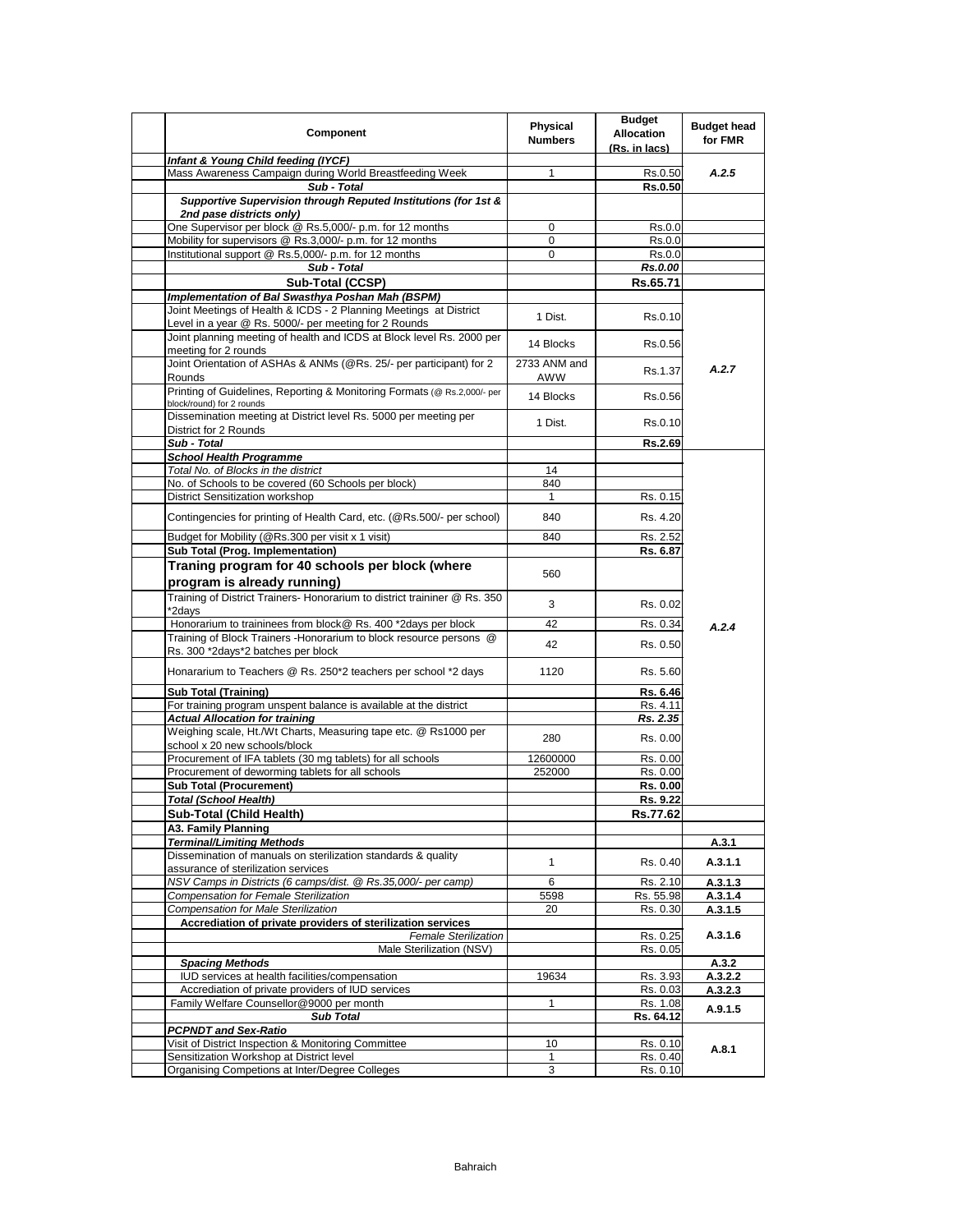| <b>Component</b>                                                                                                      | Physical<br><b>Numbers</b> | <b>Budget</b><br><b>Allocation</b><br>(Rs. in lacs) | <b>Budget head</b><br>for FMR |
|-----------------------------------------------------------------------------------------------------------------------|----------------------------|-----------------------------------------------------|-------------------------------|
| Infant & Young Child feeding (IYCF)                                                                                   |                            |                                                     |                               |
| Mass Awareness Campaign during World Breastfeeding Week                                                               | 1                          | Rs.0.50                                             | A.2.5                         |
| Sub - Total                                                                                                           |                            | <b>Rs.0.50</b>                                      |                               |
| Supportive Supervision through Reputed Institutions (for 1st &<br>2nd pase districts only)                            |                            |                                                     |                               |
| One Supervisor per block @ Rs.5,000/- p.m. for 12 months                                                              | 0                          | Rs.0.0                                              |                               |
| Mobility for supervisors @ Rs.3,000/- p.m. for 12 months                                                              | 0                          | Rs.0.0                                              |                               |
| Institutional support @ Rs.5,000/- p.m. for 12 months                                                                 | $\mathbf 0$                | Rs.0.0                                              |                               |
| Sub - Total                                                                                                           |                            | Rs.0.00                                             |                               |
| Sub-Total (CCSP)                                                                                                      |                            | Rs.65.71                                            |                               |
| Implementation of Bal Swasthya Poshan Mah (BSPM)<br>Joint Meetings of Health & ICDS - 2 Planning Meetings at District |                            |                                                     |                               |
| Level in a year @ Rs. 5000/- per meeting for 2 Rounds                                                                 | 1 Dist.                    | Rs.0.10                                             |                               |
| Joint planning meeting of health and ICDS at Block level Rs. 2000 per                                                 |                            |                                                     |                               |
| meeting for 2 rounds                                                                                                  | 14 Blocks                  | Rs.0.56                                             |                               |
| Joint Orientation of ASHAs & ANMs (@Rs. 25/- per participant) for 2                                                   | 2733 ANM and               |                                                     |                               |
| Rounds                                                                                                                | AWW                        | Rs.1.37                                             | A.2.7                         |
| Printing of Guidelines, Reporting & Monitoring Formats (@ Rs.2,000/- per                                              | 14 Blocks                  | Rs.0.56                                             |                               |
| block/round) for 2 rounds                                                                                             |                            |                                                     |                               |
| Dissemination meeting at District level Rs. 5000 per meeting per                                                      | 1 Dist.                    | Rs.0.10                                             |                               |
| District for 2 Rounds                                                                                                 |                            |                                                     |                               |
| Sub - Total                                                                                                           |                            | Rs.2.69                                             |                               |
| <b>School Health Programme</b>                                                                                        |                            |                                                     |                               |
| Total No. of Blocks in the district<br>No. of Schools to be covered (60 Schools per block)                            | 14<br>840                  |                                                     |                               |
| <b>District Sensitization workshop</b>                                                                                | $\mathbf{1}$               | Rs. 0.15                                            |                               |
|                                                                                                                       |                            |                                                     |                               |
| Contingencies for printing of Health Card, etc. (@Rs.500/- per school)                                                | 840                        | Rs. 4.20                                            |                               |
| Budget for Mobility (@Rs.300 per visit x 1 visit)                                                                     | 840                        | Rs. 2.52                                            |                               |
| Sub Total (Prog. Implementation)                                                                                      |                            | Rs. 6.87                                            |                               |
| Traning program for 40 schools per block (where                                                                       |                            |                                                     |                               |
| program is already running)                                                                                           | 560                        |                                                     |                               |
| Training of District Trainers- Honorarium to district traininer @ Rs. 350                                             |                            |                                                     |                               |
| *2days                                                                                                                | 3                          | Rs. 0.02                                            |                               |
| Honorarium to traininees from block@ Rs. 400 *2days per block                                                         | 42                         | Rs. 0.34                                            | A.2.4                         |
| Training of Block Trainers - Honorarium to block resource persons @                                                   | 42                         |                                                     |                               |
| Rs. 300 *2days*2 batches per block                                                                                    |                            | Rs. 0.50                                            |                               |
| Honararium to Teachers @ Rs. 250*2 teachers per school *2 days                                                        | 1120                       | Rs. 5.60                                            |                               |
| <b>Sub Total (Training)</b>                                                                                           |                            | Rs. 6.46                                            |                               |
| For training program unspent balance is available at the district                                                     |                            | Rs. 4.11                                            |                               |
| <b>Actual Allocation for training</b>                                                                                 |                            | Rs. 2.35                                            |                               |
| Weighing scale, Ht./Wt Charts, Measuring tape etc. @ Rs1000 per                                                       | 280                        | Rs. 0.00                                            |                               |
| school x 20 new schools/block                                                                                         |                            |                                                     |                               |
| Procurement of IFA tablets (30 mg tablets) for all schools                                                            | 12600000                   | Rs. 0.00                                            |                               |
| Procurement of deworming tablets for all schools                                                                      | 252000                     | Rs. 0.00                                            |                               |
| <b>Sub Total (Procurement)</b><br><b>Total (School Health)</b>                                                        |                            | Rs. 0.00<br>Rs. 9.22                                |                               |
|                                                                                                                       |                            |                                                     |                               |
| Sub-Total (Child Health)                                                                                              |                            | Rs.77.62                                            |                               |
| A3. Family Planning<br><b>Terminal/Limiting Methods</b>                                                               |                            |                                                     | A.3.1                         |
| Dissemination of manuals on sterilization standards & quality                                                         |                            |                                                     |                               |
| assurance of sterilization services                                                                                   | 1                          | Rs. 0.40                                            | A.3.1.1                       |
| NSV Camps in Districts (6 camps/dist. @ Rs.35,000/- per camp)                                                         | 6                          | Rs. 2.10                                            | A.3.1.3                       |
| Compensation for Female Sterilization                                                                                 | 5598                       | Rs. 55.98                                           | A.3.1.4                       |
| <b>Compensation for Male Sterilization</b>                                                                            | 20                         | Rs. 0.30                                            | A.3.1.5                       |
| Accrediation of private providers of sterilization services                                                           |                            |                                                     |                               |
| <b>Female Sterilization</b>                                                                                           |                            | Rs. 0.25                                            | A.3.1.6                       |
| Male Sterilization (NSV)                                                                                              |                            | Rs. 0.05                                            |                               |
| <b>Spacing Methods</b>                                                                                                |                            |                                                     | A.3.2                         |
| IUD services at health facilities/compensation                                                                        | 19634                      | Rs. 3.93                                            | A.3.2.2                       |
| Accrediation of private providers of IUD services<br>Family Welfare Counsellor@9000 per month                         | $\mathbf{1}$               | Rs. 0.03<br>Rs. 1.08                                | A.3.2.3                       |
| <b>Sub Total</b>                                                                                                      |                            | Rs. 64.12                                           | A.9.1.5                       |
| <b>PCPNDT and Sex-Ratio</b>                                                                                           |                            |                                                     |                               |
| Visit of District Inspection & Monitoring Committee                                                                   | 10                         | Rs. 0.10                                            |                               |
| Sensitization Workshop at District level                                                                              | $\mathbf{1}$               | Rs. 0.40                                            | A.8.1                         |
| Organising Competions at Inter/Degree Colleges                                                                        | 3                          | Rs. 0.10                                            |                               |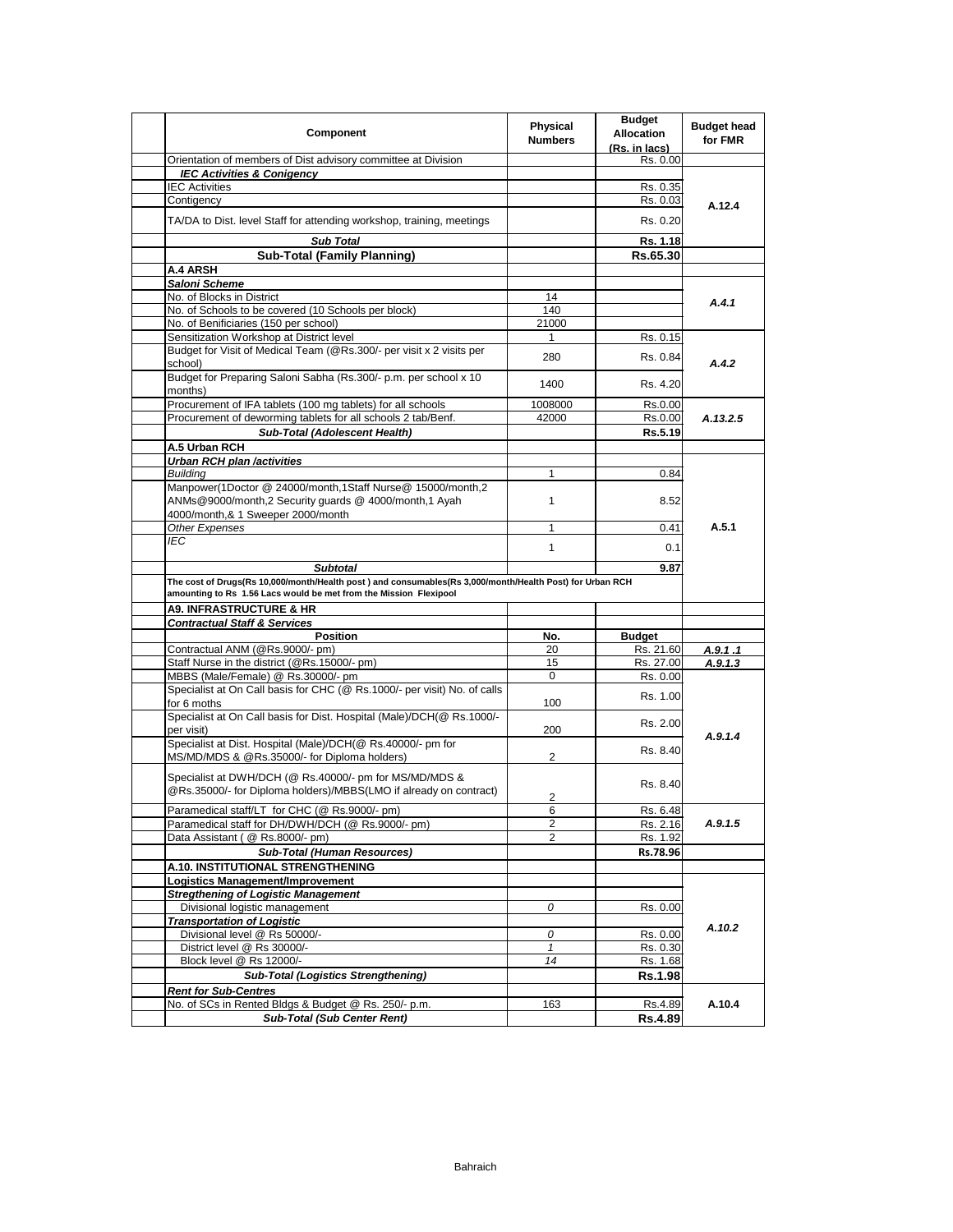| Component                                                                                                 | <b>Physical</b><br><b>Numbers</b> | <b>Budget</b><br><b>Allocation</b><br>(Rs. in lacs) | <b>Budget head</b><br>for FMR |
|-----------------------------------------------------------------------------------------------------------|-----------------------------------|-----------------------------------------------------|-------------------------------|
| Orientation of members of Dist advisory committee at Division                                             |                                   | Rs. 0.00                                            |                               |
| <b>IEC Activities &amp; Conigency</b>                                                                     |                                   |                                                     |                               |
| <b>IEC Activities</b>                                                                                     |                                   | Rs. 0.35                                            |                               |
| Contigency                                                                                                |                                   | Rs. 0.03                                            | A.12.4                        |
| TA/DA to Dist. level Staff for attending workshop, training, meetings                                     |                                   | Rs. 0.20                                            |                               |
| <b>Sub Total</b>                                                                                          |                                   | Rs. 1.18                                            |                               |
| <b>Sub-Total (Family Planning)</b>                                                                        |                                   | Rs.65.30                                            |                               |
| A.4 ARSH                                                                                                  |                                   |                                                     |                               |
| Saloni Scheme                                                                                             |                                   |                                                     |                               |
| No. of Blocks in District                                                                                 | 14                                |                                                     | A.4.1                         |
| No. of Schools to be covered (10 Schools per block)                                                       | 140                               |                                                     |                               |
| No. of Benificiaries (150 per school)                                                                     | 21000                             |                                                     |                               |
| Sensitization Workshop at District level                                                                  | 1                                 | Rs. 0.15                                            |                               |
| Budget for Visit of Medical Team (@Rs.300/- per visit x 2 visits per<br>school)                           | 280                               | Rs. 0.84                                            | A.4.2                         |
| Budget for Preparing Saloni Sabha (Rs.300/- p.m. per school x 10<br>months)                               | 1400                              | Rs. 4.20                                            |                               |
| Procurement of IFA tablets (100 mg tablets) for all schools                                               | 1008000                           | Rs.0.00                                             |                               |
| Procurement of deworming tablets for all schools 2 tab/Benf.                                              | 42000                             | Rs.0.00                                             | A.13.2.5                      |
| Sub-Total (Adolescent Health)                                                                             |                                   | Rs.5.19                                             |                               |
| A.5 Urban RCH                                                                                             |                                   |                                                     |                               |
| <b>Urban RCH plan /activities</b>                                                                         |                                   |                                                     |                               |
| <b>Building</b>                                                                                           | 1                                 | 0.84                                                |                               |
| Manpower(1Doctor @ 24000/month,1Staff Nurse@ 15000/month,2                                                |                                   |                                                     |                               |
| ANMs@9000/month,2 Security guards @ 4000/month,1 Ayah                                                     | $\mathbf{1}$                      | 8.52                                                |                               |
| 4000/month,& 1 Sweeper 2000/month                                                                         |                                   |                                                     |                               |
| Other Expenses                                                                                            | 1                                 | 0.41                                                | A.5.1                         |
| <b>IEC</b>                                                                                                | $\mathbf{1}$                      | 0.1                                                 |                               |
| <b>Subtotal</b>                                                                                           |                                   | 9.87                                                |                               |
| The cost of Drugs(Rs 10,000/month/Health post ) and consumables(Rs 3,000/month/Health Post) for Urban RCH |                                   |                                                     |                               |
| amounting to Rs 1.56 Lacs would be met from the Mission Flexipool                                         |                                   |                                                     |                               |
| <b>A9. INFRASTRUCTURE &amp; HR</b>                                                                        |                                   |                                                     |                               |
| <b>Contractual Staff &amp; Services</b>                                                                   |                                   |                                                     |                               |
| <b>Position</b>                                                                                           | No.                               | <b>Budget</b>                                       |                               |
| Contractual ANM (@Rs.9000/- pm)                                                                           | 20                                | Rs. 21.60                                           | A.9.1.1                       |
| Staff Nurse in the district (@Rs.15000/- pm)                                                              | 15                                | Rs. 27.00                                           | A.9.1.3                       |
| MBBS (Male/Female) @ Rs.30000/- pm                                                                        | $\mathbf 0$                       | Rs. 0.00                                            |                               |
| Specialist at On Call basis for CHC (@ Rs.1000/- per visit) No. of calls<br>for 6 moths                   | 100                               | Rs. 1.00                                            |                               |
| Specialist at On Call basis for Dist. Hospital (Male)/DCH(@ Rs.1000/-                                     |                                   |                                                     |                               |
| per visit)                                                                                                | 200                               | Rs. 2.00                                            | A.9.1.4                       |
| Specialist at Dist. Hospital (Male)/DCH(@ Rs.40000/- pm for                                               |                                   | Rs. 8.40                                            |                               |
| MS/MD/MDS & @Rs.35000/- for Diploma holders)                                                              | 2                                 |                                                     |                               |
| Specialist at DWH/DCH (@ Rs.40000/- pm for MS/MD/MDS &                                                    |                                   | Rs. 8.40                                            |                               |
| @Rs.35000/- for Diploma holders)/MBBS(LMO if already on contract)                                         | 2                                 |                                                     |                               |
| Paramedical staff/LT for CHC (@ Rs.9000/- pm)                                                             | 6                                 | Rs. 6.48                                            |                               |
| Paramedical staff for DH/DWH/DCH (@ Rs.9000/- pm)                                                         | 2                                 | Rs. 2.16                                            | A.9.1.5                       |
| Data Assistant ( @ Rs.8000/- pm)                                                                          | 2                                 | Rs. 1.92                                            |                               |
| Sub-Total (Human Resources)                                                                               |                                   | Rs.78.96                                            |                               |
| A.10. INSTITUTIONAL STRENGTHENING                                                                         |                                   |                                                     |                               |
| Logistics Management/Improvement                                                                          |                                   |                                                     |                               |
| <b>Stregthening of Logistic Management</b>                                                                |                                   |                                                     |                               |
| Divisional logistic management                                                                            | 0                                 | Rs. 0.00                                            |                               |
| <b>Transportation of Logistic</b>                                                                         |                                   |                                                     | A.10.2                        |
| Divisional level @ Rs 50000/-                                                                             | 0                                 | Rs. 0.00                                            |                               |
| District level @ Rs 30000/-                                                                               | $\mathbf{1}$                      | Rs. 0.30                                            |                               |
| Block level @ Rs 12000/-                                                                                  | 14                                | Rs. 1.68                                            |                               |
| <b>Sub-Total (Logistics Strengthening)</b>                                                                |                                   | <b>Rs.1.98</b>                                      |                               |
| <b>Rent for Sub-Centres</b>                                                                               |                                   |                                                     |                               |
| No. of SCs in Rented Bldgs & Budget @ Rs. 250/- p.m.                                                      | 163                               | Rs.4.89                                             | A.10.4                        |
| <b>Sub-Total (Sub Center Rent)</b>                                                                        |                                   | <b>Rs.4.89</b>                                      |                               |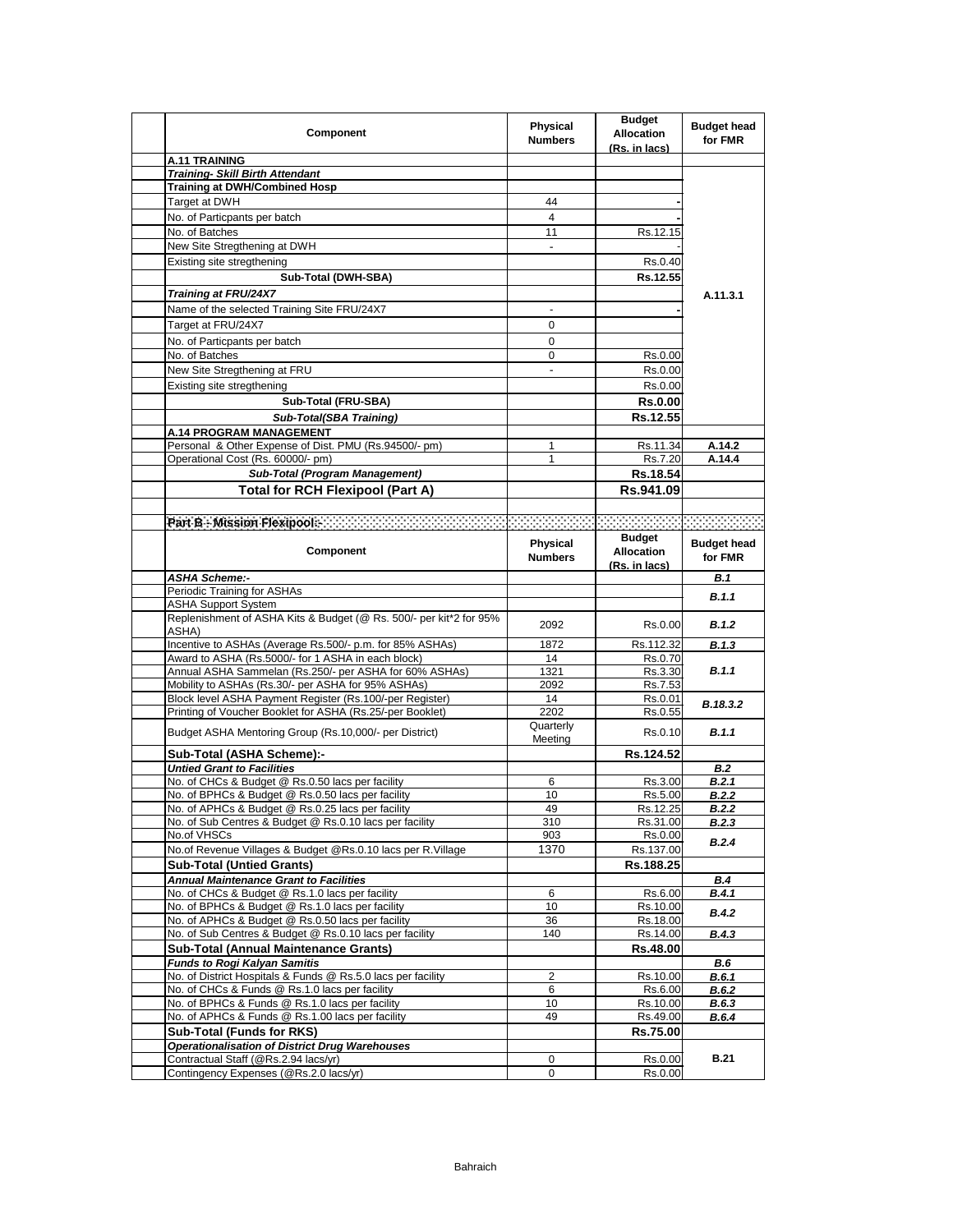| Component                                                                                                       | Physical<br><b>Numbers</b> | <b>Budget</b><br><b>Allocation</b><br>(Rs. in lacs) | <b>Budget head</b><br>for FMR |
|-----------------------------------------------------------------------------------------------------------------|----------------------------|-----------------------------------------------------|-------------------------------|
| <b>A.11 TRAINING</b>                                                                                            |                            |                                                     |                               |
| <b>Training- Skill Birth Attendant</b>                                                                          |                            |                                                     |                               |
| <b>Training at DWH/Combined Hosp</b>                                                                            |                            |                                                     |                               |
| Target at DWH                                                                                                   | 44                         |                                                     |                               |
| No. of Particpants per batch                                                                                    | 4                          |                                                     |                               |
| No. of Batches                                                                                                  | 11                         | Rs.12.15                                            |                               |
| New Site Stregthening at DWH                                                                                    | $\frac{1}{2}$              |                                                     |                               |
| Existing site stregthening                                                                                      |                            | Rs.0.40                                             |                               |
| Sub-Total (DWH-SBA)                                                                                             |                            | Rs.12.55                                            |                               |
|                                                                                                                 |                            |                                                     |                               |
| Training at FRU/24X7                                                                                            |                            |                                                     | A.11.3.1                      |
| Name of the selected Training Site FRU/24X7                                                                     |                            |                                                     |                               |
| Target at FRU/24X7                                                                                              | 0                          |                                                     |                               |
| No. of Particpants per batch                                                                                    | 0                          |                                                     |                               |
| No. of Batches                                                                                                  | 0                          | Rs.0.00                                             |                               |
| New Site Stregthening at FRU                                                                                    | ÷.                         | Rs.0.00                                             |                               |
| Existing site stregthening                                                                                      |                            | Rs.0.00                                             |                               |
| Sub-Total (FRU-SBA)                                                                                             |                            | <b>Rs.0.00</b>                                      |                               |
|                                                                                                                 |                            |                                                     |                               |
| Sub-Total(SBA Training)                                                                                         |                            | Rs.12.55                                            |                               |
| <b>A.14 PROGRAM MANAGEMENT</b>                                                                                  |                            |                                                     |                               |
| Personal & Other Expense of Dist. PMU (Rs.94500/- pm)                                                           | 1                          | Rs.11.34                                            | A.14.2                        |
| Operational Cost (Rs. 60000/- pm)                                                                               | 1                          | Rs.7.20                                             | A.14.4                        |
| Sub-Total (Program Management)                                                                                  |                            | Rs.18.54                                            |                               |
| <b>Total for RCH Flexipool (Part A)</b>                                                                         |                            | Rs.941.09                                           |                               |
|                                                                                                                 |                            |                                                     |                               |
| Part B : Mission Flexipedia and an anti-state and an anti-state of the control of the control of the control of |                            |                                                     |                               |
|                                                                                                                 |                            | <b>Budget</b>                                       |                               |
| <b>Component</b>                                                                                                | Physical                   | <b>Allocation</b>                                   | <b>Budget head</b>            |
|                                                                                                                 | <b>Numbers</b>             | (Rs. in lacs)                                       | for FMR                       |
| <b>ASHA Scheme:-</b>                                                                                            |                            |                                                     | B.1                           |
| Periodic Training for ASHAs                                                                                     |                            |                                                     |                               |
| <b>ASHA Support System</b>                                                                                      |                            |                                                     | B.1.1                         |
| Replenishment of ASHA Kits & Budget (@ Rs. 500/- per kit*2 for 95%                                              |                            |                                                     |                               |
| ASHA)                                                                                                           | 2092                       | Rs.0.00                                             | <b>B.1.2</b>                  |
| Incentive to ASHAs (Average Rs.500/- p.m. for 85% ASHAs)                                                        | 1872                       | Rs.112.32                                           | B.1.3                         |
| Award to ASHA (Rs.5000/- for 1 ASHA in each block)                                                              | 14                         | Rs.0.70                                             |                               |
| Annual ASHA Sammelan (Rs.250/- per ASHA for 60% ASHAs)                                                          | 1321                       | Rs.3.30                                             | B.1.1                         |
| Mobility to ASHAs (Rs.30/- per ASHA for 95% ASHAs)                                                              | 2092                       | Rs.7.53                                             |                               |
| Block level ASHA Payment Register (Rs.100/-per Register)                                                        | 14                         | Rs.0.01                                             | B.18.3.2                      |
| Printing of Voucher Booklet for ASHA (Rs.25/-per Booklet)                                                       | 2202                       | Rs.0.55                                             |                               |
| Budget ASHA Mentoring Group (Rs.10,000/- per District)                                                          | Quarterly                  | Rs.0.10                                             | B.1.1                         |
|                                                                                                                 | Meeting                    |                                                     |                               |
| Sub-Total (ASHA Scheme):-                                                                                       |                            | Rs.124.52                                           |                               |
| <b>Untied Grant to Facilities</b>                                                                               |                            |                                                     | B.2                           |
| No. of CHCs & Budget @ Rs.0.50 lacs per facility                                                                | 6                          | Rs.3.00                                             | B.2.1                         |
| No. of BPHCs & Budget @ Rs.0.50 lacs per facility                                                               | 10                         | Rs.5.00                                             | B.2.2                         |
| No. of APHCs & Budget @ Rs.0.25 lacs per facility                                                               | 49                         | Rs.12.25                                            | <b>B.2.2</b>                  |
| No. of Sub Centres & Budget @ Rs.0.10 lacs per facility                                                         | 310                        | Rs.31.00                                            | <b>B.2.3</b>                  |
| No.of VHSCs                                                                                                     | 903                        | Rs.0.00                                             | <b>B.2.4</b>                  |
| No.of Revenue Villages & Budget @Rs.0.10 lacs per R.Village                                                     | 1370                       | Rs.137.00                                           |                               |
| <b>Sub-Total (Untied Grants)</b>                                                                                |                            | Rs.188.25                                           |                               |
| <b>Annual Maintenance Grant to Facilities</b>                                                                   |                            |                                                     | <b>B.4</b>                    |
| No. of CHCs & Budget @ Rs.1.0 lacs per facility                                                                 | 6                          | Rs.6.00                                             | <b>B.4.1</b>                  |
| No. of BPHCs & Budget @ Rs.1.0 lacs per facility                                                                | 10                         | Rs.10.00                                            | <b>B.4.2</b>                  |
| No. of APHCs & Budget @ Rs.0.50 lacs per facility                                                               | 36                         | Rs.18.00                                            |                               |
| No. of Sub Centres & Budget @ Rs.0.10 lacs per facility                                                         | 140                        | Rs.14.00                                            | <b>B.4.3</b>                  |
| Sub-Total (Annual Maintenance Grants)                                                                           |                            | Rs.48.00                                            |                               |
| <b>Funds to Rogi Kalyan Samitis</b>                                                                             |                            |                                                     | B.6                           |
| No. of District Hospitals & Funds @ Rs.5.0 lacs per facility                                                    | 2                          | Rs.10.00                                            | <b>B.6.1</b>                  |
| No. of CHCs & Funds @ Rs.1.0 lacs per facility                                                                  | 6                          | Rs.6.00                                             | B.6.2                         |
| No. of BPHCs & Funds @ Rs.1.0 lacs per facility                                                                 | 10                         | Rs.10.00                                            | <b>B.6.3</b>                  |
| No. of APHCs & Funds @ Rs.1.00 lacs per facility                                                                | 49                         | Rs.49.00                                            | B.6.4                         |
| <b>Sub-Total (Funds for RKS)</b>                                                                                |                            | Rs.75.00                                            |                               |
| <b>Operationalisation of District Drug Warehouses</b>                                                           |                            |                                                     |                               |
| Contractual Staff (@Rs.2.94 lacs/yr)                                                                            | 0                          | Rs.0.00                                             | <b>B.21</b>                   |
| Contingency Expenses (@Rs.2.0 lacs/yr)                                                                          | 0                          | Rs.0.00                                             |                               |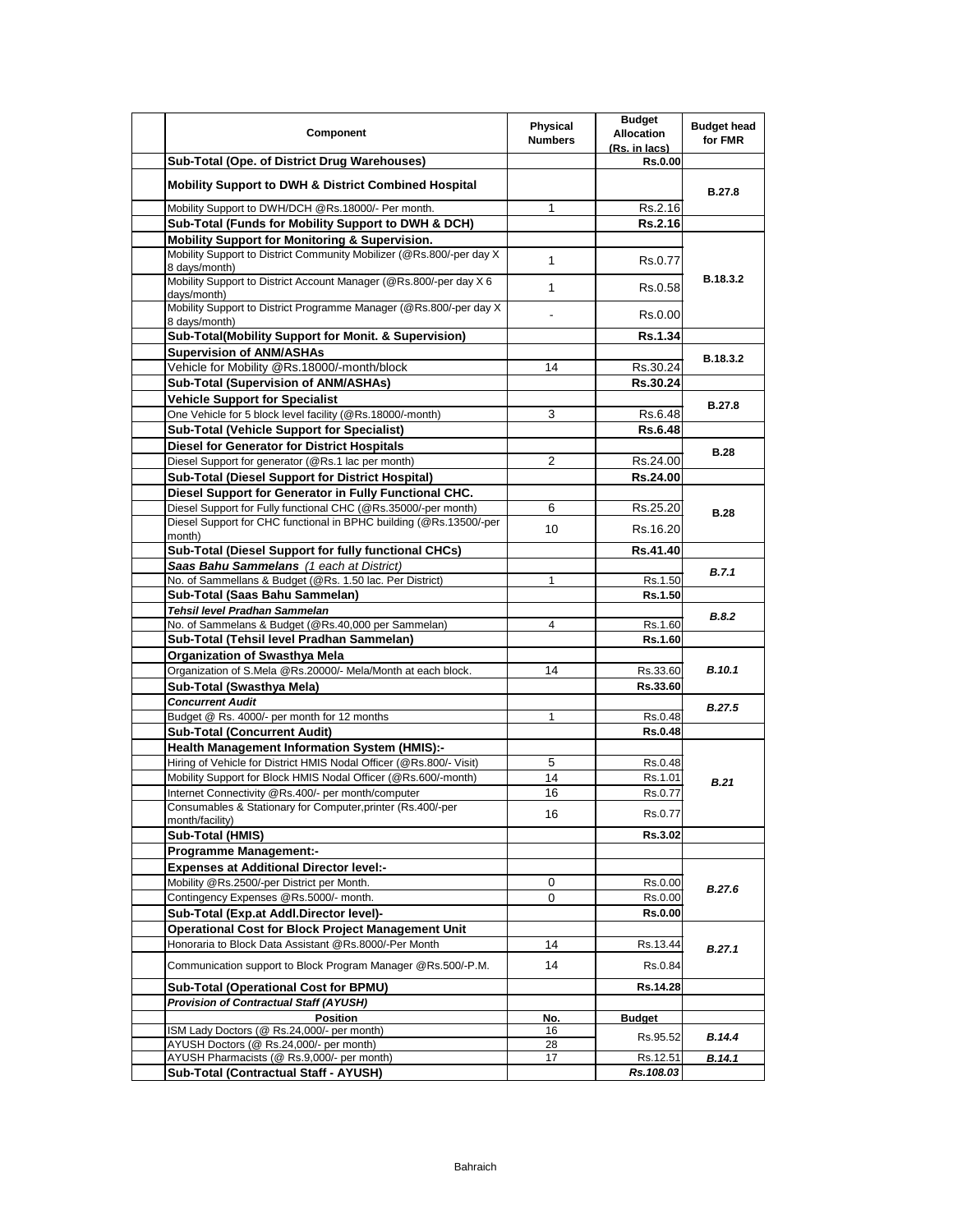| Component                                                                                                                            | Physical<br><b>Numbers</b> | <b>Budget</b><br><b>Allocation</b><br>(Rs. in lacs) | <b>Budget head</b><br>for FMR |
|--------------------------------------------------------------------------------------------------------------------------------------|----------------------------|-----------------------------------------------------|-------------------------------|
| Sub-Total (Ope. of District Drug Warehouses)                                                                                         |                            | <b>Rs.0.00</b>                                      |                               |
| <b>Mobility Support to DWH &amp; District Combined Hospital</b>                                                                      |                            |                                                     | <b>B.27.8</b>                 |
| Mobility Support to DWH/DCH @Rs.18000/- Per month.                                                                                   | 1                          | Rs.2.16                                             |                               |
| Sub-Total (Funds for Mobility Support to DWH & DCH)                                                                                  |                            | Rs.2.16                                             |                               |
| <b>Mobility Support for Monitoring &amp; Supervision.</b>                                                                            |                            |                                                     |                               |
| Mobility Support to District Community Mobilizer (@Rs.800/-per day X)<br>8 days/month)                                               | $\mathbf{1}$               | Rs.0.77                                             |                               |
| Mobility Support to District Account Manager (@Rs.800/-per day X 6<br>days/month)                                                    | $\mathbf{1}$               | Rs.0.58                                             | B.18.3.2                      |
| Mobility Support to District Programme Manager (@Rs.800/-per day X)<br>8 days/month)                                                 |                            | Rs.0.00                                             |                               |
| Sub-Total(Mobility Support for Monit. & Supervision)                                                                                 |                            | <b>Rs.1.34</b>                                      |                               |
| <b>Supervision of ANM/ASHAs</b>                                                                                                      |                            |                                                     | B.18.3.2                      |
| Vehicle for Mobility @Rs.18000/-month/block                                                                                          | 14                         | Rs.30.24                                            |                               |
| Sub-Total (Supervision of ANM/ASHAs)                                                                                                 |                            | Rs.30.24                                            |                               |
| <b>Vehicle Support for Specialist</b>                                                                                                |                            |                                                     |                               |
| One Vehicle for 5 block level facility (@Rs.18000/-month)                                                                            | 3                          | Rs.6.48                                             | <b>B.27.8</b>                 |
| <b>Sub-Total (Vehicle Support for Specialist)</b>                                                                                    |                            | Rs.6.48                                             |                               |
| <b>Diesel for Generator for District Hospitals</b>                                                                                   |                            |                                                     |                               |
| Diesel Support for generator (@Rs.1 lac per month)                                                                                   | 2                          | Rs.24.00                                            | <b>B.28</b>                   |
| Sub-Total (Diesel Support for District Hospital)                                                                                     |                            |                                                     |                               |
|                                                                                                                                      |                            | Rs.24.00                                            |                               |
| Diesel Support for Generator in Fully Functional CHC.                                                                                |                            |                                                     |                               |
| Diesel Support for Fully functional CHC (@Rs.35000/-per month)<br>Diesel Support for CHC functional in BPHC building (@Rs.13500/-per | 6<br>10                    | Rs.25.20<br>Rs.16.20                                | <b>B.28</b>                   |
| month)                                                                                                                               |                            |                                                     |                               |
| Sub-Total (Diesel Support for fully functional CHCs)                                                                                 |                            | Rs.41.40                                            |                               |
| Saas Bahu Sammelans (1 each at District)                                                                                             |                            |                                                     | B.7.1                         |
| No. of Sammellans & Budget (@Rs. 1.50 lac. Per District)                                                                             | 1                          | Rs.1.50                                             |                               |
| Sub-Total (Saas Bahu Sammelan)                                                                                                       |                            | Rs.1.50                                             |                               |
| Tehsil level Pradhan Sammelan                                                                                                        |                            |                                                     | <b>B.8.2</b>                  |
| No. of Sammelans & Budget (@Rs.40,000 per Sammelan)                                                                                  | 4                          | Rs.1.60                                             |                               |
| Sub-Total (Tehsil level Pradhan Sammelan)                                                                                            |                            | Rs.1.60                                             |                               |
| <b>Organization of Swasthya Mela</b>                                                                                                 |                            |                                                     |                               |
| Organization of S.Mela @Rs.20000/- Mela/Month at each block.                                                                         | 14                         | Rs.33.60                                            | <b>B.10.1</b>                 |
| Sub-Total (Swasthya Mela)                                                                                                            |                            | Rs.33.60                                            |                               |
| <b>Concurrent Audit</b>                                                                                                              |                            |                                                     | <b>B.27.5</b>                 |
| Budget @ Rs. 4000/- per month for 12 months                                                                                          | 1                          | Rs.0.48                                             |                               |
| <b>Sub-Total (Concurrent Audit)</b>                                                                                                  |                            | Rs.0.48                                             |                               |
| <b>Health Management Information System (HMIS):-</b>                                                                                 |                            |                                                     |                               |
| Hiring of Vehicle for District HMIS Nodal Officer (@Rs.800/- Visit)                                                                  | 5                          | Rs.0.48                                             |                               |
| Mobility Support for Block HMIS Nodal Officer (@Rs.600/-month)                                                                       | 14                         | Rs.1.01                                             | B.21                          |
| Internet Connectivity @Rs.400/- per month/computer                                                                                   | 16                         | Rs.0.77                                             |                               |
| Consumables & Stationary for Computer, printer (Rs.400/-per<br>month/facility)                                                       | 16                         | Rs.0.77                                             |                               |
| Sub-Total (HMIS)                                                                                                                     |                            | Rs.3.02                                             |                               |
| <b>Programme Management:-</b>                                                                                                        |                            |                                                     |                               |
| <b>Expenses at Additional Director level:-</b>                                                                                       |                            |                                                     |                               |
| Mobility @Rs.2500/-per District per Month.                                                                                           | 0                          | Rs.0.00                                             |                               |
| Contingency Expenses @Rs.5000/- month.                                                                                               | 0                          | Rs.0.00                                             | <b>B.27.6</b>                 |
| Sub-Total (Exp.at Addl.Director level)-                                                                                              |                            | Rs.0.00                                             |                               |
| <b>Operational Cost for Block Project Management Unit</b>                                                                            |                            |                                                     |                               |
| Honoraria to Block Data Assistant @Rs.8000/-Per Month                                                                                | 14                         | Rs.13.44                                            |                               |
| Communication support to Block Program Manager @Rs.500/-P.M.                                                                         | 14                         | Rs.0.84                                             | B.27.1                        |
|                                                                                                                                      |                            |                                                     |                               |
| <b>Sub-Total (Operational Cost for BPMU)</b>                                                                                         |                            | Rs.14.28                                            |                               |
| <b>Provision of Contractual Staff (AYUSH)</b>                                                                                        |                            |                                                     |                               |
| <b>Position</b><br>ISM Lady Doctors (@ Rs.24,000/- per month)                                                                        | No.<br>16                  | <b>Budget</b>                                       |                               |
| AYUSH Doctors (@ Rs.24,000/- per month)                                                                                              | 28                         | Rs.95.52                                            | B.14.4                        |
| AYUSH Pharmacists (@ Rs.9,000/- per month)                                                                                           | 17                         | Rs.12.51                                            | B.14.1                        |
| Sub-Total (Contractual Staff - AYUSH)                                                                                                |                            | Rs.108.03                                           |                               |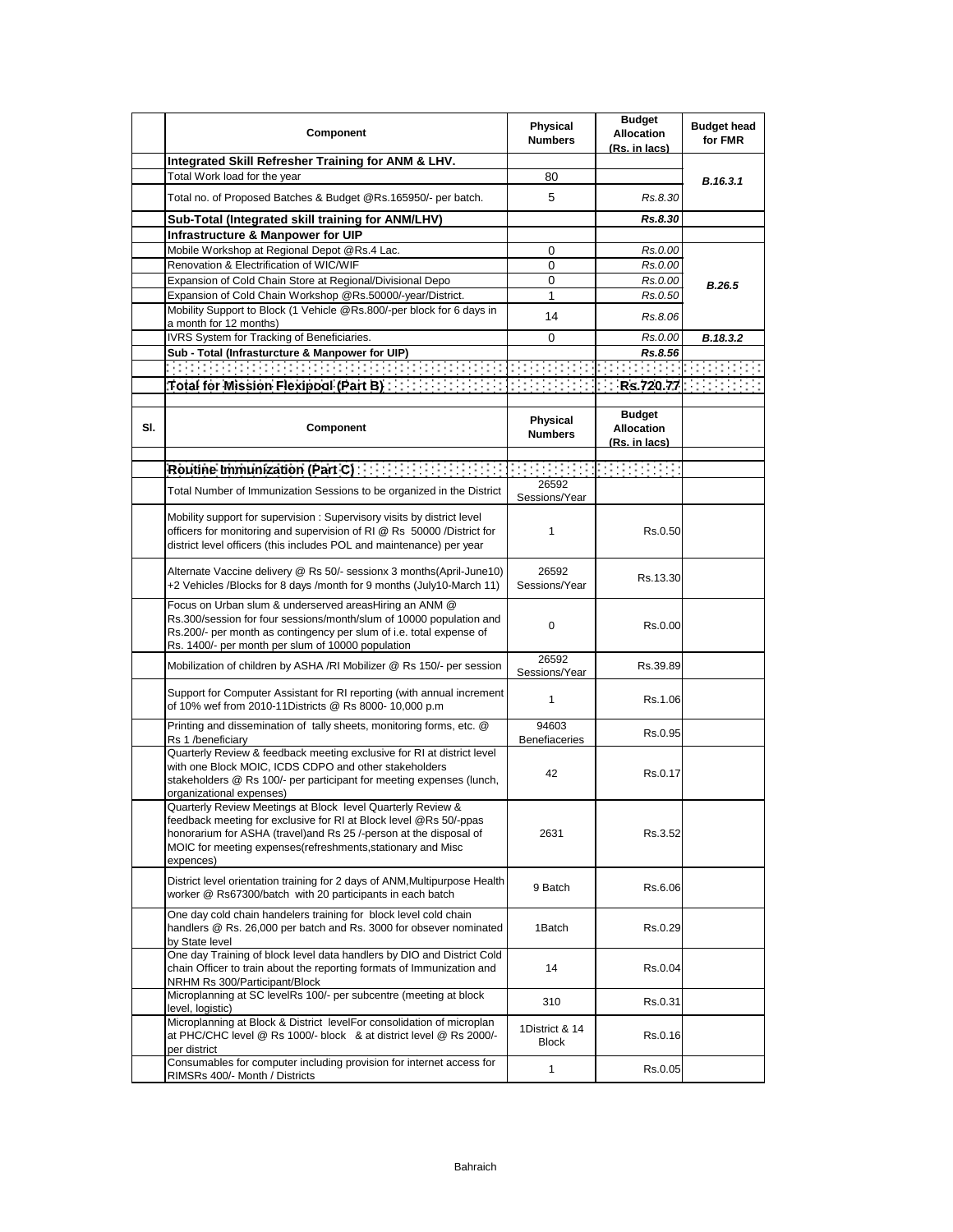|     | Component                                                                                                                                                                                                                                                                         | Physical<br><b>Numbers</b>    | <b>Budget</b><br><b>Allocation</b><br>(Rs. in lacs) | <b>Budget head</b><br>for FMR |
|-----|-----------------------------------------------------------------------------------------------------------------------------------------------------------------------------------------------------------------------------------------------------------------------------------|-------------------------------|-----------------------------------------------------|-------------------------------|
|     | Integrated Skill Refresher Training for ANM & LHV.                                                                                                                                                                                                                                |                               |                                                     |                               |
|     | Total Work load for the year                                                                                                                                                                                                                                                      | 80                            |                                                     | B.16.3.1                      |
|     | Total no. of Proposed Batches & Budget @Rs.165950/- per batch.                                                                                                                                                                                                                    | 5                             | Rs.8.30                                             |                               |
|     | Sub-Total (Integrated skill training for ANM/LHV)                                                                                                                                                                                                                                 |                               | Rs.8.30                                             |                               |
|     | Infrastructure & Manpower for UIP                                                                                                                                                                                                                                                 |                               |                                                     |                               |
|     | Mobile Workshop at Regional Depot @Rs.4 Lac.                                                                                                                                                                                                                                      | 0                             | Rs.0.00                                             |                               |
|     | Renovation & Electrification of WIC/WIF<br>Expansion of Cold Chain Store at Regional/Divisional Depo                                                                                                                                                                              | 0<br>$\mathbf 0$              | Rs.0.00<br>Rs.0.00                                  |                               |
|     | Expansion of Cold Chain Workshop @Rs.50000/-year/District.                                                                                                                                                                                                                        | 1                             | Rs.0.50                                             | <b>B.26.5</b>                 |
|     | Mobility Support to Block (1 Vehicle @Rs.800/-per block for 6 days in                                                                                                                                                                                                             | 14                            | Rs.8.06                                             |                               |
|     | a month for 12 months)                                                                                                                                                                                                                                                            |                               |                                                     |                               |
|     | IVRS System for Tracking of Beneficiaries.                                                                                                                                                                                                                                        | 0                             | Rs.0.00                                             | B.18.3.2                      |
|     | Sub - Total (Infrasturcture & Manpower for UIP)                                                                                                                                                                                                                                   |                               | Rs.8.56                                             |                               |
|     | Total for Mission Flexipool (Part B)                                                                                                                                                                                                                                              |                               |                                                     | Rs.720.77                     |
|     |                                                                                                                                                                                                                                                                                   |                               |                                                     |                               |
| SI. | Component                                                                                                                                                                                                                                                                         | Physical<br><b>Numbers</b>    | <b>Budget</b><br><b>Allocation</b><br>(Rs. in lacs) |                               |
|     | Routine Immunization (Part C)                                                                                                                                                                                                                                                     |                               |                                                     |                               |
|     | Total Number of Immunization Sessions to be organized in the District                                                                                                                                                                                                             | 26592                         |                                                     |                               |
|     |                                                                                                                                                                                                                                                                                   | Sessions/Year                 |                                                     |                               |
|     | Mobility support for supervision: Supervisory visits by district level<br>officers for monitoring and supervision of RI @ Rs 50000 /District for<br>district level officers (this includes POL and maintenance) per year                                                          | 1                             | Rs.0.50                                             |                               |
|     | Alternate Vaccine delivery @ Rs 50/- sessionx 3 months(April-June10)<br>+2 Vehicles /Blocks for 8 days /month for 9 months (July10-March 11)                                                                                                                                      | 26592<br>Sessions/Year        | Rs.13.30                                            |                               |
|     | Focus on Urban slum & underserved areasHiring an ANM @<br>Rs.300/session for four sessions/month/slum of 10000 population and<br>Rs.200/- per month as contingency per slum of i.e. total expense of<br>Rs. 1400/- per month per slum of 10000 population                         | $\mathbf 0$                   | Rs.0.00                                             |                               |
|     | Mobilization of children by ASHA /RI Mobilizer @ Rs 150/- per session                                                                                                                                                                                                             | 26592<br>Sessions/Year        | Rs.39.89                                            |                               |
|     | Support for Computer Assistant for RI reporting (with annual increment<br>of 10% wef from 2010-11Districts @ Rs 8000- 10,000 p.m                                                                                                                                                  | 1                             | Rs.1.06                                             |                               |
|     | Printing and dissemination of tally sheets, monitoring forms, etc. @<br>Rs 1 /beneficiary                                                                                                                                                                                         | 94603<br><b>Benefiaceries</b> | Rs 0.95                                             |                               |
|     | Quarterly Review & feedback meeting exclusive for RI at district level<br>with one Block MOIC, ICDS CDPO and other stakeholders<br>stakeholders @ Rs 100/- per participant for meeting expenses (lunch,<br>organizational expenses)                                               | 42                            | Rs.0.17                                             |                               |
|     | Quarterly Review Meetings at Block level Quarterly Review &<br>feedback meeting for exclusive for RI at Block level @Rs 50/-ppas<br>honorarium for ASHA (travel)and Rs 25 /-person at the disposal of<br>MOIC for meeting expenses(refreshments, stationary and Misc<br>expences) | 2631                          | Rs.3.52                                             |                               |
|     | District level orientation training for 2 days of ANM, Multipurpose Health<br>worker @ Rs67300/batch with 20 participants in each batch                                                                                                                                           | 9 Batch                       | Rs.6.06                                             |                               |
|     | One day cold chain handelers training for block level cold chain<br>handlers @ Rs. 26,000 per batch and Rs. 3000 for obsever nominated<br>by State level                                                                                                                          | 1Batch                        | Rs.0.29                                             |                               |
|     | One day Training of block level data handlers by DIO and District Cold<br>chain Officer to train about the reporting formats of Immunization and<br>NRHM Rs 300/Participant/Block                                                                                                 | 14                            | Rs.0.04                                             |                               |
|     | Microplanning at SC levelRs 100/- per subcentre (meeting at block<br>level, logistic)                                                                                                                                                                                             | 310                           | Rs.0.31                                             |                               |
|     | Microplanning at Block & District levelFor consolidation of microplan<br>at PHC/CHC level @ Rs 1000/- block & at district level @ Rs 2000/-<br>per district                                                                                                                       | 1District & 14<br>Block       | Rs.0.16                                             |                               |
|     | Consumables for computer including provision for internet access for<br>RIMSRs 400/- Month / Districts                                                                                                                                                                            | 1                             | Rs.0.05                                             |                               |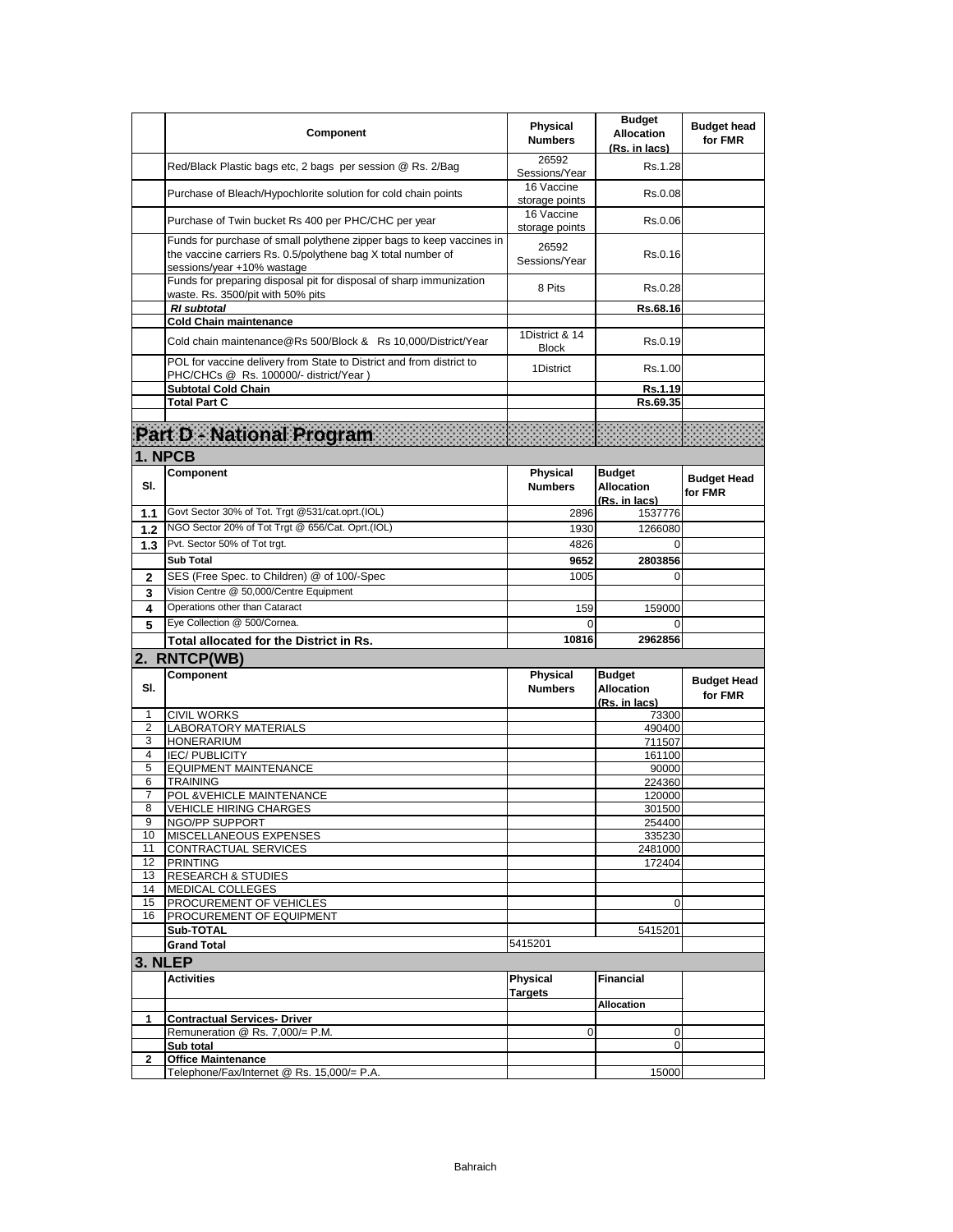|              | Component                                                                                                                                                           | <b>Physical</b><br><b>Numbers</b> | <b>Budget</b><br><b>Allocation</b><br>(Rs. in lacs) | <b>Budget head</b><br>for FMR |
|--------------|---------------------------------------------------------------------------------------------------------------------------------------------------------------------|-----------------------------------|-----------------------------------------------------|-------------------------------|
|              | Red/Black Plastic bags etc, 2 bags per session @ Rs. 2/Bag                                                                                                          | 26592<br>Sessions/Year            | Rs.1.28                                             |                               |
|              | Purchase of Bleach/Hypochlorite solution for cold chain points                                                                                                      | 16 Vaccine<br>storage points      | Rs.0.08                                             |                               |
|              | Purchase of Twin bucket Rs 400 per PHC/CHC per year                                                                                                                 | 16 Vaccine<br>storage points      | Rs.0.06                                             |                               |
|              | Funds for purchase of small polythene zipper bags to keep vaccines in<br>the vaccine carriers Rs. 0.5/polythene bag X total number of<br>sessions/year +10% wastage | 26592<br>Sessions/Year            | Rs.0.16                                             |                               |
|              | Funds for preparing disposal pit for disposal of sharp immunization<br>waste. Rs. 3500/pit with 50% pits                                                            | 8 Pits                            | Rs.0.28                                             |                               |
|              | <b>RI</b> subtotal                                                                                                                                                  |                                   | Rs.68.16                                            |                               |
|              | <b>Cold Chain maintenance</b>                                                                                                                                       |                                   |                                                     |                               |
|              | Cold chain maintenance@Rs 500/Block & Rs 10,000/District/Year                                                                                                       | 1District & 14<br><b>Block</b>    | Rs.0.19                                             |                               |
|              | POL for vaccine delivery from State to District and from district to<br>PHC/CHCs @ Rs. 100000/- district/Year)                                                      | 1District                         | Rs.1.00                                             |                               |
|              | <b>Subtotal Cold Chain</b>                                                                                                                                          |                                   | Rs.1.19                                             |                               |
|              | <b>Total Part C</b>                                                                                                                                                 |                                   | Rs.69.35                                            |                               |
|              | Part D - National Program                                                                                                                                           |                                   |                                                     |                               |
|              | 1. NPCB                                                                                                                                                             |                                   |                                                     |                               |
| SI.          | Component                                                                                                                                                           | Physical<br><b>Numbers</b>        | <b>Budget</b><br><b>Allocation</b><br>(Rs. in lacs) | <b>Budget Head</b><br>for FMR |
| 1.1          | Govt Sector 30% of Tot. Trgt @531/cat.oprt.(IOL)                                                                                                                    | 2896                              | 1537776                                             |                               |
| $1.2$        | NGO Sector 20% of Tot Trgt @ 656/Cat. Oprt.(IOL)                                                                                                                    | 1930                              | 1266080                                             |                               |
| 1.3          | Pvt. Sector 50% of Tot trgt.                                                                                                                                        | 4826                              | $\Omega$                                            |                               |
|              | <b>Sub Total</b>                                                                                                                                                    | 9652                              | 2803856                                             |                               |
| $\mathbf{2}$ | SES (Free Spec. to Children) @ of 100/-Spec                                                                                                                         | 1005                              | $\Omega$                                            |                               |
| 3            | Vision Centre @ 50,000/Centre Equipment                                                                                                                             |                                   |                                                     |                               |
| 4            | Operations other than Cataract                                                                                                                                      | 159                               | 159000                                              |                               |
| 5            | Eye Collection @ 500/Cornea.                                                                                                                                        | $\Omega$                          | $\Omega$                                            |                               |
|              | Total allocated for the District in Rs.                                                                                                                             | 10816                             | 2962856                                             |                               |
|              | 2. RNTCP(WB)                                                                                                                                                        |                                   |                                                     |                               |
| SI.          | Component                                                                                                                                                           | Physical<br><b>Numbers</b>        | <b>Budget</b><br><b>Allocation</b><br>(Rs. in lacs) | <b>Budget Head</b><br>for FMR |
| 1            | <b>CIVIL WORKS</b>                                                                                                                                                  |                                   | 73300                                               |                               |
| 2<br>3       | <b>LABORATORY MATERIALS</b><br><b>HONERARIUM</b>                                                                                                                    |                                   | 490400<br>711507                                    |                               |
| 4            | <b>IEC/PUBLICITY</b>                                                                                                                                                |                                   | 161100                                              |                               |
| 5            | <b>EQUIPMENT MAINTENANCE</b>                                                                                                                                        |                                   | 90000                                               |                               |
| 6            | TRAINING                                                                                                                                                            |                                   | 224360                                              |                               |
| 7            | POL & VEHICLE MAINTENANCE                                                                                                                                           |                                   | 120000                                              |                               |
| 8            | <b>VEHICLE HIRING CHARGES</b>                                                                                                                                       |                                   | 301500                                              |                               |
| 9<br>10      | NGO/PP SUPPORT<br>MISCELLANEOUS EXPENSES                                                                                                                            |                                   | 254400<br>335230                                    |                               |
| 11           | CONTRACTUAL SERVICES                                                                                                                                                |                                   | 2481000                                             |                               |
| 12           | <b>PRINTING</b>                                                                                                                                                     |                                   | 172404                                              |                               |
| 13           | <b>RESEARCH &amp; STUDIES</b>                                                                                                                                       |                                   |                                                     |                               |
| 14           | MEDICAL COLLEGES                                                                                                                                                    |                                   |                                                     |                               |
| 15           | PROCUREMENT OF VEHICLES                                                                                                                                             |                                   | 0                                                   |                               |
| 16           | PROCUREMENT OF EQUIPMENT<br>Sub-TOTAL                                                                                                                               |                                   | 5415201                                             |                               |
|              | <b>Grand Total</b>                                                                                                                                                  | 5415201                           |                                                     |                               |
|              | 3. NLEP                                                                                                                                                             |                                   |                                                     |                               |
|              | <b>Activities</b>                                                                                                                                                   | <b>Physical</b>                   | Financial                                           |                               |
|              |                                                                                                                                                                     | Targets                           | <b>Allocation</b>                                   |                               |
| 1            | <b>Contractual Services- Driver</b>                                                                                                                                 |                                   |                                                     |                               |
|              | Remuneration @ Rs. 7,000/= P.M.<br>Sub total                                                                                                                        | 0                                 | 0<br>0                                              |                               |
| 2            | <b>Office Maintenance</b>                                                                                                                                           |                                   |                                                     |                               |
|              | Telephone/Fax/Internet @ Rs. 15,000/= P.A.                                                                                                                          |                                   | 15000                                               |                               |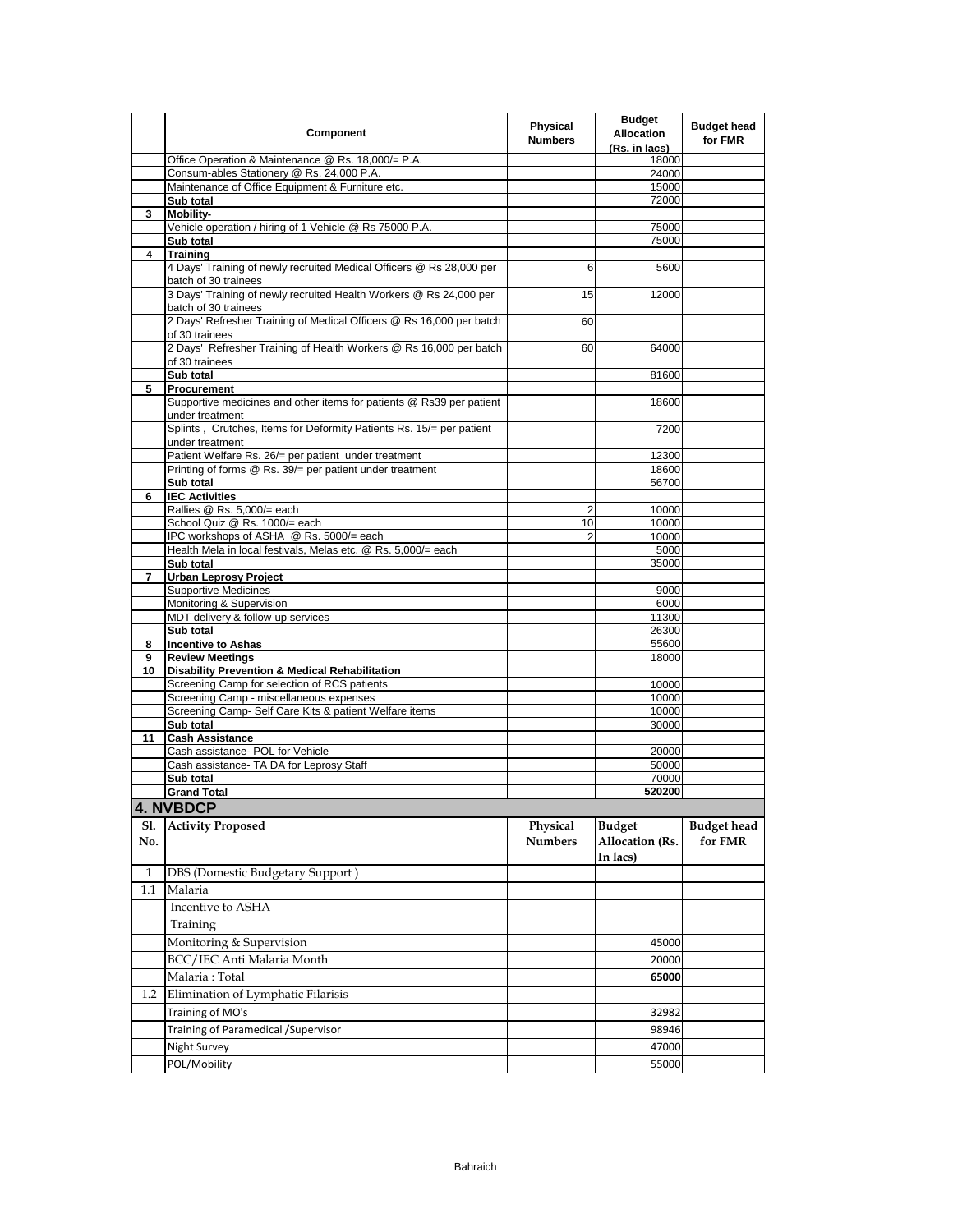|     | Component                                                                                                 | Physical<br><b>Numbers</b> | <b>Budget</b><br><b>Allocation</b><br>(Rs. in lacs) | <b>Budget head</b><br>for FMR |
|-----|-----------------------------------------------------------------------------------------------------------|----------------------------|-----------------------------------------------------|-------------------------------|
|     | Office Operation & Maintenance @ Rs. 18,000/= P.A.                                                        |                            | 18000                                               |                               |
|     | Consum-ables Stationery @ Rs. 24,000 P.A.                                                                 |                            | 24000                                               |                               |
|     | Maintenance of Office Equipment & Furniture etc.                                                          |                            | 15000                                               |                               |
| 3   | Sub total<br>Mobility-                                                                                    |                            | 72000                                               |                               |
|     | Vehicle operation / hiring of 1 Vehicle @ Rs 75000 P.A.                                                   |                            | 75000                                               |                               |
|     | Sub total                                                                                                 |                            | 75000                                               |                               |
| 4   | <b>Training</b>                                                                                           |                            |                                                     |                               |
|     | 4 Days' Training of newly recruited Medical Officers @ Rs 28,000 per<br>batch of 30 trainees              | 6                          | 5600                                                |                               |
|     | 3 Days' Training of newly recruited Health Workers @ Rs 24,000 per<br>batch of 30 trainees                | 15                         | 12000                                               |                               |
|     | 2 Days' Refresher Training of Medical Officers @ Rs 16,000 per batch<br>of 30 trainees                    | 60                         |                                                     |                               |
|     | 2 Days' Refresher Training of Health Workers @ Rs 16,000 per batch<br>of 30 trainees                      | 60                         | 64000                                               |                               |
|     | Sub total                                                                                                 |                            | 81600                                               |                               |
| 5   | Procurement                                                                                               |                            |                                                     |                               |
|     | Supportive medicines and other items for patients @ Rs39 per patient<br>under treatment                   |                            | 18600                                               |                               |
|     | Splints, Crutches, Items for Deformity Patients Rs. 15/= per patient<br>under treatment                   |                            | 7200                                                |                               |
|     | Patient Welfare Rs. 26/= per patient under treatment                                                      |                            | 12300                                               |                               |
|     | Printing of forms @ Rs. 39/= per patient under treatment                                                  |                            | 18600                                               |                               |
|     | Sub total                                                                                                 |                            | 56700                                               |                               |
| 6   | <b>IEC Activities</b><br>Rallies @ Rs. 5,000/= each                                                       | 2                          | 10000                                               |                               |
|     | School Quiz @ Rs. 1000/= each                                                                             | 10                         | 10000                                               |                               |
|     | IPC workshops of ASHA @ Rs. 5000/= each                                                                   | $\overline{2}$             | 10000                                               |                               |
|     | Health Mela in local festivals, Melas etc. @ Rs. 5,000/= each                                             |                            | 5000                                                |                               |
|     | Sub total                                                                                                 |                            | 35000                                               |                               |
| 7   | <b>Urban Leprosy Project</b>                                                                              |                            |                                                     |                               |
|     | <b>Supportive Medicines</b><br>Monitoring & Supervision                                                   |                            | 9000<br>6000                                        |                               |
|     | MDT delivery & follow-up services                                                                         |                            | 11300                                               |                               |
|     | Sub total                                                                                                 |                            | 26300                                               |                               |
| 8   | <b>Incentive to Ashas</b>                                                                                 |                            | 55600                                               |                               |
| 9   | <b>Review Meetings</b>                                                                                    |                            | 18000                                               |                               |
| 10  | <b>Disability Prevention &amp; Medical Rehabilitation</b><br>Screening Camp for selection of RCS patients |                            |                                                     |                               |
|     | Screening Camp - miscellaneous expenses                                                                   |                            | 10000<br>10000                                      |                               |
|     | Screening Camp- Self Care Kits & patient Welfare items                                                    |                            | 10000                                               |                               |
|     | Sub total                                                                                                 |                            | 30000                                               |                               |
| 11  | <b>Cash Assistance</b>                                                                                    |                            |                                                     |                               |
|     | Cash assistance- POL for Vehicle                                                                          |                            | 20000                                               |                               |
|     | Cash assistance- TA DA for Leprosy Staff                                                                  |                            | 50000<br>70000                                      |                               |
|     | Sub total<br><b>Grand Total</b>                                                                           |                            | 520200                                              |                               |
|     | <b>4. NVBDCP</b>                                                                                          |                            |                                                     |                               |
| Sl. | <b>Activity Proposed</b>                                                                                  | Physical                   | <b>Budget</b>                                       | <b>Budget head</b>            |
| No. |                                                                                                           | <b>Numbers</b>             | Allocation (Rs.<br>In lacs)                         | for FMR                       |
| 1   | DBS (Domestic Budgetary Support)                                                                          |                            |                                                     |                               |
| 1.1 | Malaria                                                                                                   |                            |                                                     |                               |
|     | Incentive to ASHA                                                                                         |                            |                                                     |                               |
|     | Training                                                                                                  |                            |                                                     |                               |
|     | Monitoring & Supervision                                                                                  |                            | 45000                                               |                               |
|     | BCC/IEC Anti Malaria Month                                                                                |                            | 20000                                               |                               |
|     | Malaria: Total                                                                                            |                            | 65000                                               |                               |
| 1.2 | Elimination of Lymphatic Filarisis                                                                        |                            |                                                     |                               |
|     | Training of MO's                                                                                          |                            | 32982                                               |                               |
|     | Training of Paramedical / Supervisor                                                                      |                            | 98946                                               |                               |
|     | Night Survey                                                                                              |                            | 47000                                               |                               |
|     | POL/Mobility                                                                                              |                            | 55000                                               |                               |